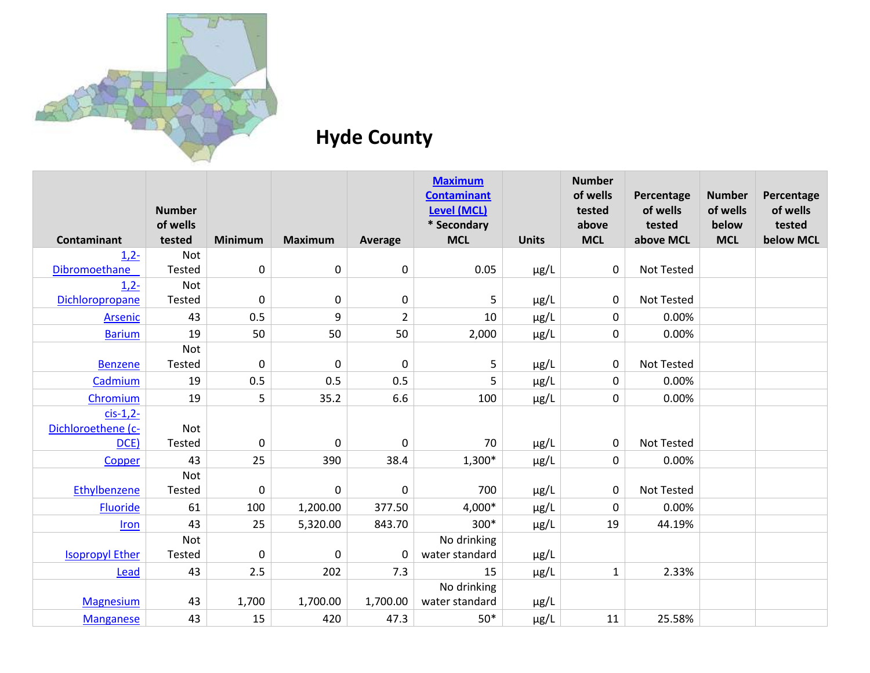

## **Hyde County**

|                        | <b>Number</b>      |                |                |                | <b>Maximum</b><br><b>Contaminant</b><br><b>Level (MCL)</b> |              | <b>Number</b><br>of wells<br>tested | Percentage<br>of wells | <b>Number</b><br>of wells | Percentage<br>of wells |
|------------------------|--------------------|----------------|----------------|----------------|------------------------------------------------------------|--------------|-------------------------------------|------------------------|---------------------------|------------------------|
| Contaminant            | of wells<br>tested | <b>Minimum</b> | <b>Maximum</b> | Average        | * Secondary<br><b>MCL</b>                                  | <b>Units</b> | above<br><b>MCL</b>                 | tested<br>above MCL    | below<br><b>MCL</b>       | tested<br>below MCL    |
| $1,2-$                 | <b>Not</b>         |                |                |                |                                                            |              |                                     |                        |                           |                        |
| Dibromoethane          | Tested             | $\mathbf 0$    | $\mathbf 0$    | $\mathbf 0$    | 0.05                                                       | $\mu$ g/L    | 0                                   | <b>Not Tested</b>      |                           |                        |
| $1,2-$                 | Not                |                |                |                |                                                            |              |                                     |                        |                           |                        |
| Dichloropropane        | Tested             | $\mathbf 0$    | $\mathbf 0$    | 0              | 5                                                          | $\mu$ g/L    | 0                                   | <b>Not Tested</b>      |                           |                        |
| Arsenic                | 43                 | 0.5            | 9              | $\overline{2}$ | 10                                                         | $\mu$ g/L    | 0                                   | 0.00%                  |                           |                        |
| <b>Barium</b>          | 19                 | 50             | 50             | 50             | 2,000                                                      | µg/L         | 0                                   | 0.00%                  |                           |                        |
|                        | <b>Not</b>         |                |                |                |                                                            |              |                                     |                        |                           |                        |
| <b>Benzene</b>         | Tested             | $\mathbf 0$    | $\mathbf 0$    | $\mathbf 0$    | 5                                                          | $\mu$ g/L    | $\mathbf 0$                         | <b>Not Tested</b>      |                           |                        |
| Cadmium                | 19                 | 0.5            | 0.5            | 0.5            | 5                                                          | $\mu$ g/L    | 0                                   | 0.00%                  |                           |                        |
| Chromium               | 19                 | 5              | 35.2           | 6.6            | 100                                                        | $\mu$ g/L    | 0                                   | 0.00%                  |                           |                        |
| $cis-1,2$ -            |                    |                |                |                |                                                            |              |                                     |                        |                           |                        |
| Dichloroethene (c-     | Not                |                |                |                |                                                            |              |                                     |                        |                           |                        |
| DCE)                   | <b>Tested</b>      | $\mathbf 0$    | 0              | 0              | 70                                                         | $\mu$ g/L    | 0                                   | <b>Not Tested</b>      |                           |                        |
| Copper                 | 43                 | 25             | 390            | 38.4           | 1,300*                                                     | $\mu$ g/L    | 0                                   | 0.00%                  |                           |                        |
|                        | Not                |                |                |                |                                                            |              |                                     |                        |                           |                        |
| Ethylbenzene           | Tested             | $\mathbf 0$    | $\mathbf 0$    | $\mathbf 0$    | 700                                                        | $\mu$ g/L    | 0                                   | <b>Not Tested</b>      |                           |                        |
| Fluoride               | 61                 | 100            | 1,200.00       | 377.50         | 4,000*                                                     | $\mu$ g/L    | $\Omega$                            | 0.00%                  |                           |                        |
| Iron                   | 43                 | 25             | 5,320.00       | 843.70         | 300*                                                       | $\mu$ g/L    | 19                                  | 44.19%                 |                           |                        |
|                        | <b>Not</b>         |                |                |                | No drinking                                                |              |                                     |                        |                           |                        |
| <b>Isopropyl Ether</b> | <b>Tested</b>      | $\mathbf 0$    | $\mathbf 0$    | 0              | water standard                                             | $\mu$ g/L    |                                     |                        |                           |                        |
| Lead                   | 43                 | 2.5            | 202            | 7.3            | 15                                                         | $\mu$ g/L    | $\mathbf{1}$                        | 2.33%                  |                           |                        |
|                        |                    |                |                |                | No drinking                                                |              |                                     |                        |                           |                        |
| <b>Magnesium</b>       | 43                 | 1,700          | 1,700.00       | 1,700.00       | water standard                                             | $\mu$ g/L    |                                     |                        |                           |                        |
| <b>Manganese</b>       | 43                 | 15             | 420            | 47.3           | $50*$                                                      | $\mu$ g/L    | 11                                  | 25.58%                 |                           |                        |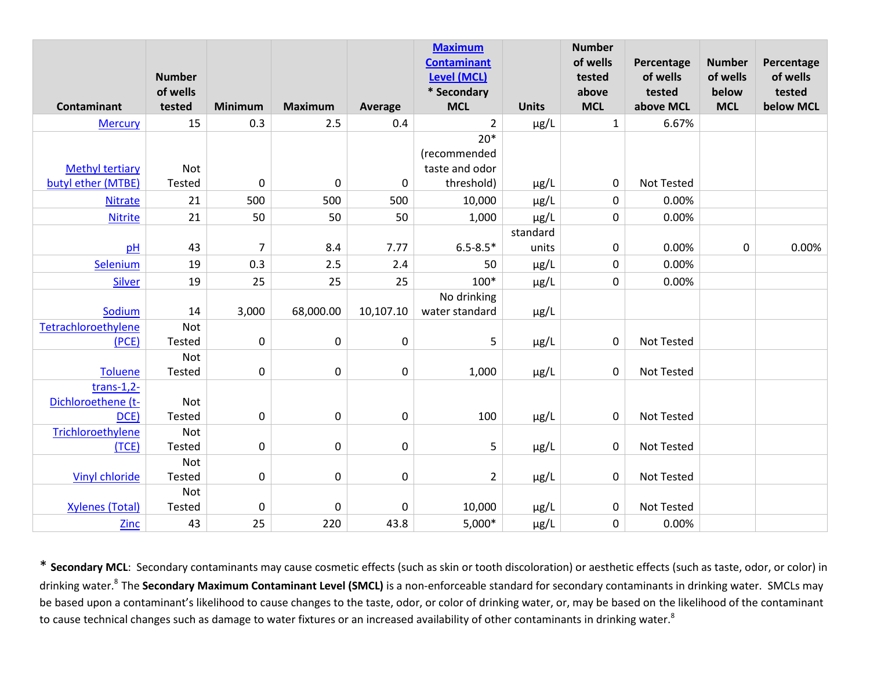|                            | <b>Number</b>      |                |                |           | <b>Maximum</b><br><b>Contaminant</b><br><b>Level (MCL)</b> |              | <b>Number</b><br>of wells<br>tested | Percentage<br>of wells | <b>Number</b><br>of wells | Percentage<br>of wells |
|----------------------------|--------------------|----------------|----------------|-----------|------------------------------------------------------------|--------------|-------------------------------------|------------------------|---------------------------|------------------------|
| <b>Contaminant</b>         | of wells<br>tested | <b>Minimum</b> | <b>Maximum</b> | Average   | * Secondary<br><b>MCL</b>                                  | <b>Units</b> | above<br><b>MCL</b>                 | tested<br>above MCL    | below<br><b>MCL</b>       | tested<br>below MCL    |
| <b>Mercury</b>             | 15                 | 0.3            | 2.5            | 0.4       | $\overline{2}$                                             | $\mu$ g/L    | $\mathbf{1}$                        | 6.67%                  |                           |                        |
|                            |                    |                |                |           | $20*$                                                      |              |                                     |                        |                           |                        |
|                            |                    |                |                |           | (recommended                                               |              |                                     |                        |                           |                        |
| <b>Methyl tertiary</b>     | Not                |                |                |           | taste and odor                                             |              |                                     |                        |                           |                        |
| butyl ether (MTBE)         | Tested             | $\mathbf 0$    | $\pmb{0}$      | $\pmb{0}$ | threshold)                                                 | $\mu$ g/L    | $\mathbf 0$                         | <b>Not Tested</b>      |                           |                        |
| <b>Nitrate</b>             | 21                 | 500            | 500            | 500       | 10,000                                                     | $\mu$ g/L    | $\mathbf 0$                         | 0.00%                  |                           |                        |
| <b>Nitrite</b>             | 21                 | 50             | 50             | 50        | 1,000                                                      | $\mu$ g/L    | $\mathbf 0$                         | 0.00%                  |                           |                        |
|                            |                    |                |                |           |                                                            | standard     |                                     |                        |                           |                        |
| pH                         | 43                 | $\overline{7}$ | 8.4            | 7.77      | $6.5 - 8.5*$                                               | units        | $\pmb{0}$                           | 0.00%                  | $\pmb{0}$                 | 0.00%                  |
| Selenium                   | 19                 | 0.3            | 2.5            | 2.4       | 50                                                         | $\mu$ g/L    | $\mathbf 0$                         | 0.00%                  |                           |                        |
| <b>Silver</b>              | 19                 | 25             | 25             | 25        | $100*$                                                     | $\mu$ g/L    | $\mathbf 0$                         | 0.00%                  |                           |                        |
|                            |                    |                |                |           | No drinking                                                |              |                                     |                        |                           |                        |
| Sodium                     | 14                 | 3,000          | 68,000.00      | 10,107.10 | water standard                                             | $\mu$ g/L    |                                     |                        |                           |                        |
| Tetrachloroethylene        | Not                |                |                |           |                                                            |              |                                     |                        |                           |                        |
| (PCE)                      | Tested             | $\pmb{0}$      | $\pmb{0}$      | $\pmb{0}$ | 5                                                          | $\mu$ g/L    | 0                                   | <b>Not Tested</b>      |                           |                        |
|                            | Not                |                |                |           |                                                            |              |                                     |                        |                           |                        |
| <b>Toluene</b>             | Tested             | $\mathbf 0$    | 0              | $\pmb{0}$ | 1,000                                                      | $\mu$ g/L    | $\mathbf 0$                         | <b>Not Tested</b>      |                           |                        |
| $trans-1,2-$               |                    |                |                |           |                                                            |              |                                     |                        |                           |                        |
| Dichloroethene (t-<br>DCE) | Not<br>Tested      | $\mathbf 0$    | 0              | $\pmb{0}$ | 100                                                        |              | 0                                   | Not Tested             |                           |                        |
| Trichloroethylene          | Not                |                |                |           |                                                            | $\mu$ g/L    |                                     |                        |                           |                        |
| (TCE)                      | Tested             | $\pmb{0}$      | $\pmb{0}$      | $\pmb{0}$ | 5                                                          | $\mu$ g/L    | $\mathbf 0$                         | <b>Not Tested</b>      |                           |                        |
|                            | Not                |                |                |           |                                                            |              |                                     |                        |                           |                        |
| <b>Vinyl chloride</b>      | Tested             | $\pmb{0}$      | $\pmb{0}$      | $\pmb{0}$ | $\overline{2}$                                             | $\mu$ g/L    | 0                                   | <b>Not Tested</b>      |                           |                        |
|                            | Not                |                |                |           |                                                            |              |                                     |                        |                           |                        |
| <b>Xylenes (Total)</b>     | Tested             | 0              | 0              | 0         | 10,000                                                     | $\mu$ g/L    | 0                                   | <b>Not Tested</b>      |                           |                        |
| <b>Zinc</b>                | 43                 | 25             | 220            | 43.8      | $5,000*$                                                   | $\mu$ g/L    | $\mathbf 0$                         | 0.00%                  |                           |                        |

\* **Secondary MCL**: Secondary contaminants may cause cosmetic effects (such as skin or tooth discoloration) or aesthetic effects (such as taste, odor, or color) in drinking water.<sup>8</sup>The **Secondary Maximum Contaminant Level (SMCL)** is a non-enforceable standard for secondary contaminants in drinking water. SMCLs may be based upon a contaminant's likelihood to cause changes to the taste, odor, or color of drinking water, or, may be based on the likelihood of the contaminant to cause technical changes such as damage to water fixtures or an increased availability of other contaminants in drinking water.<sup>8</sup>